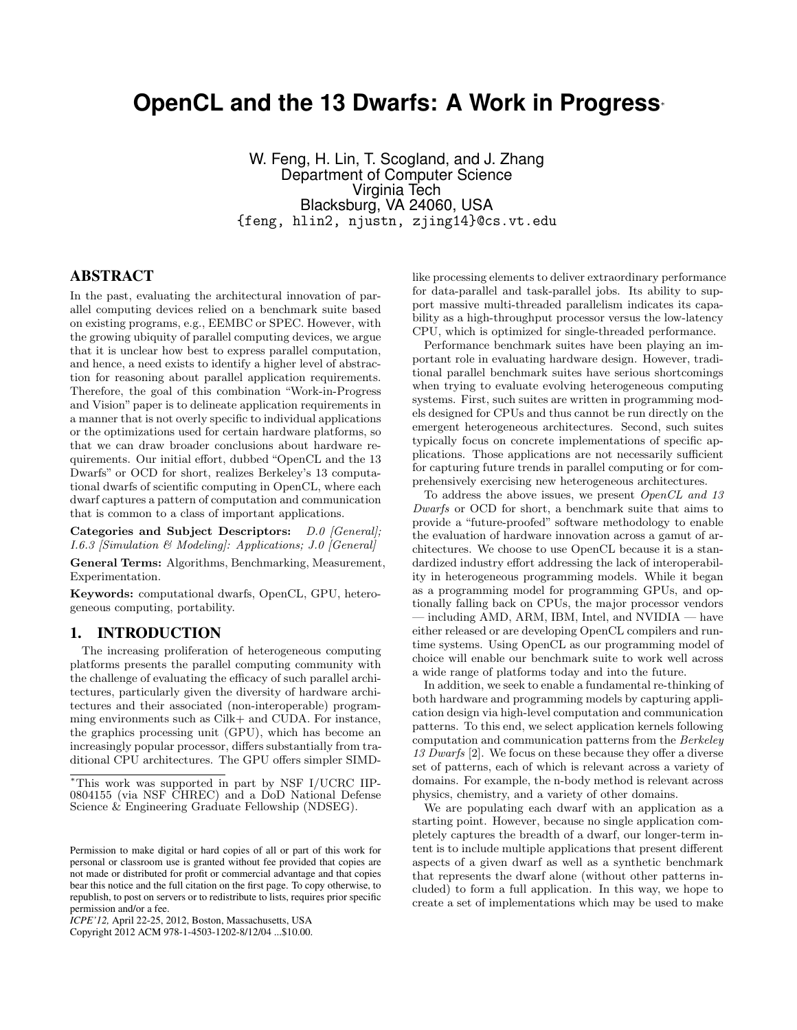# **OpenCL and the 13 Dwarfs: A Work in Progress**<sup>∗</sup>

W. Feng, H. Lin, T. Scogland, and J. Zhang Department of Computer Science Virginia Tech Blacksburg, VA 24060, USA {feng, hlin2, njustn, zjing14}@cs.vt.edu

## ABSTRACT

In the past, evaluating the architectural innovation of parallel computing devices relied on a benchmark suite based on existing programs, e.g., EEMBC or SPEC. However, with the growing ubiquity of parallel computing devices, we argue that it is unclear how best to express parallel computation, and hence, a need exists to identify a higher level of abstraction for reasoning about parallel application requirements. Therefore, the goal of this combination "Work-in-Progress and Vision" paper is to delineate application requirements in a manner that is not overly specific to individual applications or the optimizations used for certain hardware platforms, so that we can draw broader conclusions about hardware requirements. Our initial effort, dubbed "OpenCL and the 13 Dwarfs" or OCD for short, realizes Berkeley's 13 computational dwarfs of scientific computing in OpenCL, where each dwarf captures a pattern of computation and communication that is common to a class of important applications.

Categories and Subject Descriptors: D.0 [General]; I.6.3 [Simulation & Modeling]: Applications; J.0 [General]

General Terms: Algorithms, Benchmarking, Measurement, Experimentation.

Keywords: computational dwarfs, OpenCL, GPU, heterogeneous computing, portability.

## 1. INTRODUCTION

The increasing proliferation of heterogeneous computing platforms presents the parallel computing community with the challenge of evaluating the efficacy of such parallel architectures, particularly given the diversity of hardware architectures and their associated (non-interoperable) programming environments such as Cilk+ and CUDA. For instance, the graphics processing unit (GPU), which has become an increasingly popular processor, differs substantially from traditional CPU architectures. The GPU offers simpler SIMD-

Copyright 2012 ACM 978-1-4503-1202-8/12/04 ...\$10.00.

like processing elements to deliver extraordinary performance for data-parallel and task-parallel jobs. Its ability to support massive multi-threaded parallelism indicates its capability as a high-throughput processor versus the low-latency CPU, which is optimized for single-threaded performance.

Performance benchmark suites have been playing an important role in evaluating hardware design. However, traditional parallel benchmark suites have serious shortcomings when trying to evaluate evolving heterogeneous computing systems. First, such suites are written in programming models designed for CPUs and thus cannot be run directly on the emergent heterogeneous architectures. Second, such suites typically focus on concrete implementations of specific applications. Those applications are not necessarily sufficient for capturing future trends in parallel computing or for comprehensively exercising new heterogeneous architectures.

To address the above issues, we present OpenCL and 13 Dwarfs or OCD for short, a benchmark suite that aims to provide a "future-proofed" software methodology to enable the evaluation of hardware innovation across a gamut of architectures. We choose to use OpenCL because it is a standardized industry effort addressing the lack of interoperability in heterogeneous programming models. While it began as a programming model for programming GPUs, and optionally falling back on CPUs, the major processor vendors — including AMD, ARM, IBM, Intel, and NVIDIA — have either released or are developing OpenCL compilers and runtime systems. Using OpenCL as our programming model of choice will enable our benchmark suite to work well across a wide range of platforms today and into the future.

In addition, we seek to enable a fundamental re-thinking of both hardware and programming models by capturing application design via high-level computation and communication patterns. To this end, we select application kernels following computation and communication patterns from the Berkeley 13 Dwarfs [2]. We focus on these because they offer a diverse set of patterns, each of which is relevant across a variety of domains. For example, the n-body method is relevant across physics, chemistry, and a variety of other domains.

We are populating each dwarf with an application as a starting point. However, because no single application completely captures the breadth of a dwarf, our longer-term intent is to include multiple applications that present different aspects of a given dwarf as well as a synthetic benchmark that represents the dwarf alone (without other patterns included) to form a full application. In this way, we hope to create a set of implementations which may be used to make

<sup>∗</sup>This work was supported in part by NSF I/UCRC IIP-0804155 (via NSF CHREC) and a DoD National Defense Science & Engineering Graduate Fellowship (NDSEG).

Permission to make digital or hard copies of all or part of this work for personal or classroom use is granted without fee provided that copies are not made or distributed for profit or commercial advantage and that copies bear this notice and the full citation on the first page. To copy otherwise, to republish, to post on servers or to redistribute to lists, requires prior specific permission and/or a fee.

*ICPE'12,* April 22-25, 2012, Boston, Massachusetts, USA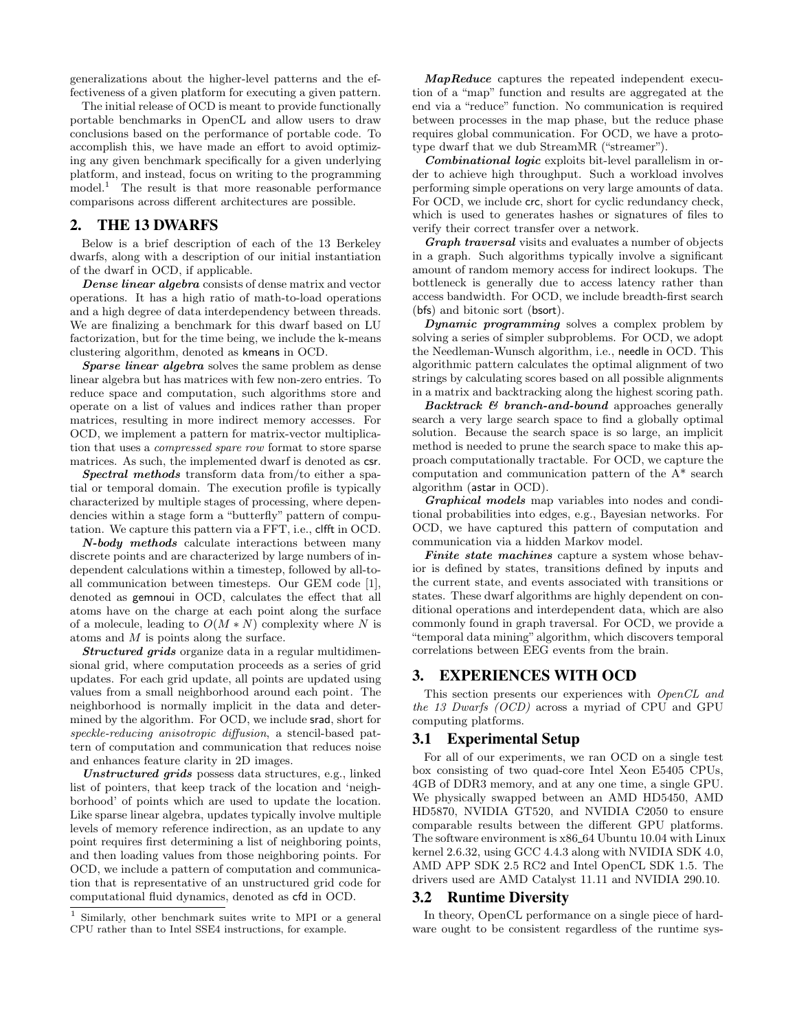generalizations about the higher-level patterns and the effectiveness of a given platform for executing a given pattern.

The initial release of OCD is meant to provide functionally portable benchmarks in OpenCL and allow users to draw conclusions based on the performance of portable code. To accomplish this, we have made an effort to avoid optimizing any given benchmark specifically for a given underlying platform, and instead, focus on writing to the programming model.<sup>1</sup> The result is that more reasonable performance comparisons across different architectures are possible.

## 2. THE 13 DWARFS

Below is a brief description of each of the 13 Berkeley dwarfs, along with a description of our initial instantiation of the dwarf in OCD, if applicable.

*Dense linear algebra* consists of dense matrix and vector operations. It has a high ratio of math-to-load operations and a high degree of data interdependency between threads. We are finalizing a benchmark for this dwarf based on LU factorization, but for the time being, we include the k-means clustering algorithm, denoted as kmeans in OCD.

*Sparse linear algebra* solves the same problem as dense linear algebra but has matrices with few non-zero entries. To reduce space and computation, such algorithms store and operate on a list of values and indices rather than proper matrices, resulting in more indirect memory accesses. For OCD, we implement a pattern for matrix-vector multiplication that uses a compressed spare row format to store sparse matrices. As such, the implemented dwarf is denoted as csr.

*Spectral methods* transform data from/to either a spatial or temporal domain. The execution profile is typically characterized by multiple stages of processing, where dependencies within a stage form a "butterfly" pattern of computation. We capture this pattern via a FFT, i.e., clfft in OCD.

*N-body methods* calculate interactions between many discrete points and are characterized by large numbers of independent calculations within a timestep, followed by all-toall communication between timesteps. Our GEM code [1], denoted as gemnoui in OCD, calculates the effect that all atoms have on the charge at each point along the surface of a molecule, leading to  $O(M*N)$  complexity where *N* is atoms and *M* is points along the surface.

*Structured grids* organize data in a regular multidimensional grid, where computation proceeds as a series of grid updates. For each grid update, all points are updated using values from a small neighborhood around each point. The neighborhood is normally implicit in the data and determined by the algorithm. For OCD, we include srad, short for speckle-reducing anisotropic diffusion, a stencil-based pattern of computation and communication that reduces noise and enhances feature clarity in 2D images.

*Unstructured grids* possess data structures, e.g., linked list of pointers, that keep track of the location and 'neighborhood' of points which are used to update the location. Like sparse linear algebra, updates typically involve multiple levels of memory reference indirection, as an update to any point requires first determining a list of neighboring points, and then loading values from those neighboring points. For OCD, we include a pattern of computation and communication that is representative of an unstructured grid code for computational fluid dynamics, denoted as cfd in OCD.

*MapReduce* captures the repeated independent execution of a "map" function and results are aggregated at the end via a "reduce" function. No communication is required between processes in the map phase, but the reduce phase requires global communication. For OCD, we have a prototype dwarf that we dub StreamMR ("streamer").

*Combinational logic* exploits bit-level parallelism in order to achieve high throughput. Such a workload involves performing simple operations on very large amounts of data. For OCD, we include crc, short for cyclic redundancy check, which is used to generates hashes or signatures of files to verify their correct transfer over a network.

*Graph traversal* visits and evaluates a number of objects in a graph. Such algorithms typically involve a significant amount of random memory access for indirect lookups. The bottleneck is generally due to access latency rather than access bandwidth. For OCD, we include breadth-first search (bfs) and bitonic sort (bsort).

*Dynamic programming* solves a complex problem by solving a series of simpler subproblems. For OCD, we adopt the Needleman-Wunsch algorithm, i.e., needle in OCD. This algorithmic pattern calculates the optimal alignment of two strings by calculating scores based on all possible alignments in a matrix and backtracking along the highest scoring path.

*Backtrack & branch-and-bound* approaches generally search a very large search space to find a globally optimal solution. Because the search space is so large, an implicit method is needed to prune the search space to make this approach computationally tractable. For OCD, we capture the computation and communication pattern of the A\* search algorithm (astar in OCD).

*Graphical models* map variables into nodes and conditional probabilities into edges, e.g., Bayesian networks. For OCD, we have captured this pattern of computation and communication via a hidden Markov model.

*Finite state machines* capture a system whose behavior is defined by states, transitions defined by inputs and the current state, and events associated with transitions or states. These dwarf algorithms are highly dependent on conditional operations and interdependent data, which are also commonly found in graph traversal. For OCD, we provide a "temporal data mining" algorithm, which discovers temporal correlations between EEG events from the brain.

## 3. EXPERIENCES WITH OCD

This section presents our experiences with OpenCL and the 13 Dwarfs (OCD) across a myriad of CPU and GPU computing platforms.

#### 3.1 Experimental Setup

For all of our experiments, we ran OCD on a single test box consisting of two quad-core Intel Xeon E5405 CPUs, 4GB of DDR3 memory, and at any one time, a single GPU. We physically swapped between an AMD HD5450, AMD HD5870, NVIDIA GT520, and NVIDIA C2050 to ensure comparable results between the different GPU platforms. The software environment is x86 64 Ubuntu 10.04 with Linux kernel 2.6.32, using GCC 4.4.3 along with NVIDIA SDK 4.0, AMD APP SDK 2.5 RC2 and Intel OpenCL SDK 1.5. The drivers used are AMD Catalyst 11.11 and NVIDIA 290.10.

#### 3.2 Runtime Diversity

In theory, OpenCL performance on a single piece of hardware ought to be consistent regardless of the runtime sys-

Similarly, other benchmark suites write to MPI or a general CPU rather than to Intel SSE4 instructions, for example.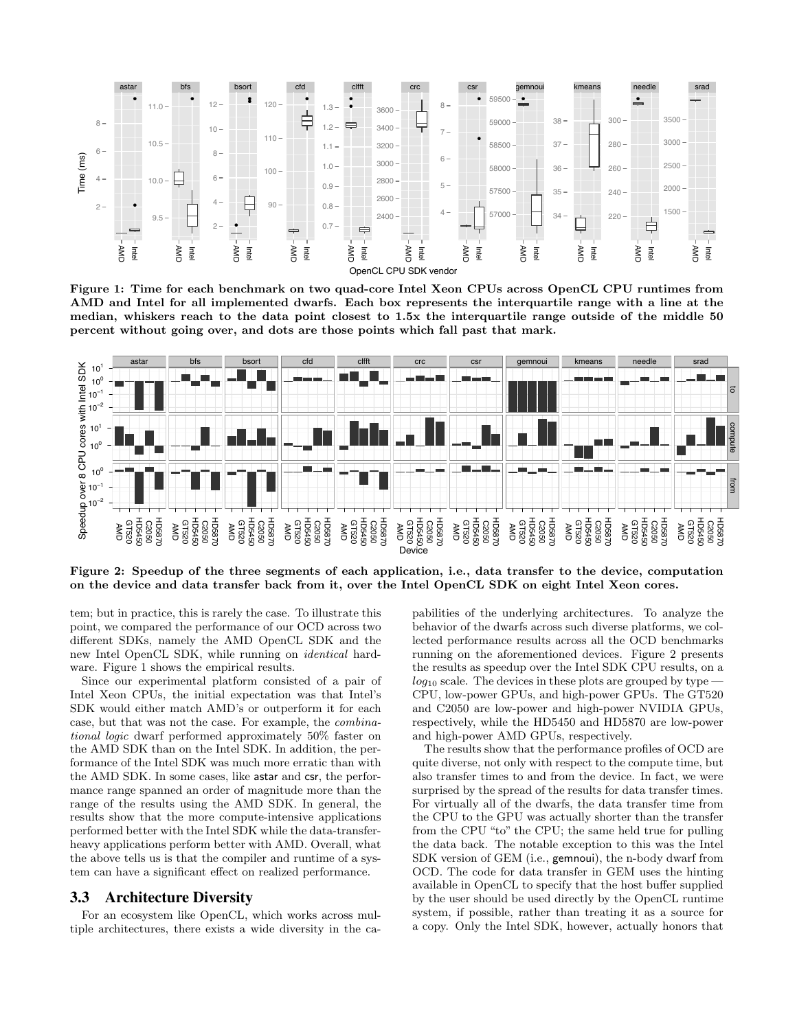

Figure 1: Time for each benchmark on two quad-core Intel Xeon CPUs across OpenCL CPU runtimes from AMD and Intel for all implemented dwarfs. Each box represents the interquartile range with a line at the median, whiskers reach to the data point closest to 1.5x the interquartile range outside of the middle 50 percent without going over, and dots are those points which fall past that mark.



Figure 2: Speedup of the three segments of each application, i.e., data transfer to the device, computation on the device and data transfer back from it, over the Intel OpenCL SDK on eight Intel Xeon cores.

tem; but in practice, this is rarely the case. To illustrate this point, we compared the performance of our OCD across two different SDKs, namely the AMD OpenCL SDK and the new Intel OpenCL SDK, while running on *identical* hardware. Figure 1 shows the empirical results.

Since our experimental platform consisted of a pair of Intel Xeon CPUs, the initial expectation was that Intel's SDK would either match AMD's or outperform it for each case, but that was not the case. For example, the combinational logic dwarf performed approximately 50% faster on the AMD SDK than on the Intel SDK. In addition, the performance of the Intel SDK was much more erratic than with the AMD SDK. In some cases, like astar and csr, the performance range spanned an order of magnitude more than the range of the results using the AMD SDK. In general, the results show that the more compute-intensive applications performed better with the Intel SDK while the data-transferheavy applications perform better with AMD. Overall, what the above tells us is that the compiler and runtime of a system can have a significant effect on realized performance.

#### 3.3 Architecture Diversity

For an ecosystem like OpenCL, which works across multiple architectures, there exists a wide diversity in the capabilities of the underlying architectures. To analyze the behavior of the dwarfs across such diverse platforms, we collected performance results across all the OCD benchmarks running on the aforementioned devices. Figure 2 presents the results as speedup over the Intel SDK CPU results, on a  $log_{10}$  scale. The devices in these plots are grouped by type – CPU, low-power GPUs, and high-power GPUs. The GT520 and C2050 are low-power and high-power NVIDIA GPUs, respectively, while the HD5450 and HD5870 are low-power and high-power AMD GPUs, respectively.

The results show that the performance profiles of OCD are quite diverse, not only with respect to the compute time, but also transfer times to and from the device. In fact, we were surprised by the spread of the results for data transfer times. For virtually all of the dwarfs, the data transfer time from the CPU to the GPU was actually shorter than the transfer from the CPU "to" the CPU; the same held true for pulling the data back. The notable exception to this was the Intel SDK version of GEM (i.e., gemnoui), the n-body dwarf from OCD. The code for data transfer in GEM uses the hinting available in OpenCL to specify that the host buffer supplied by the user should be used directly by the OpenCL runtime system, if possible, rather than treating it as a source for a copy. Only the Intel SDK, however, actually honors that